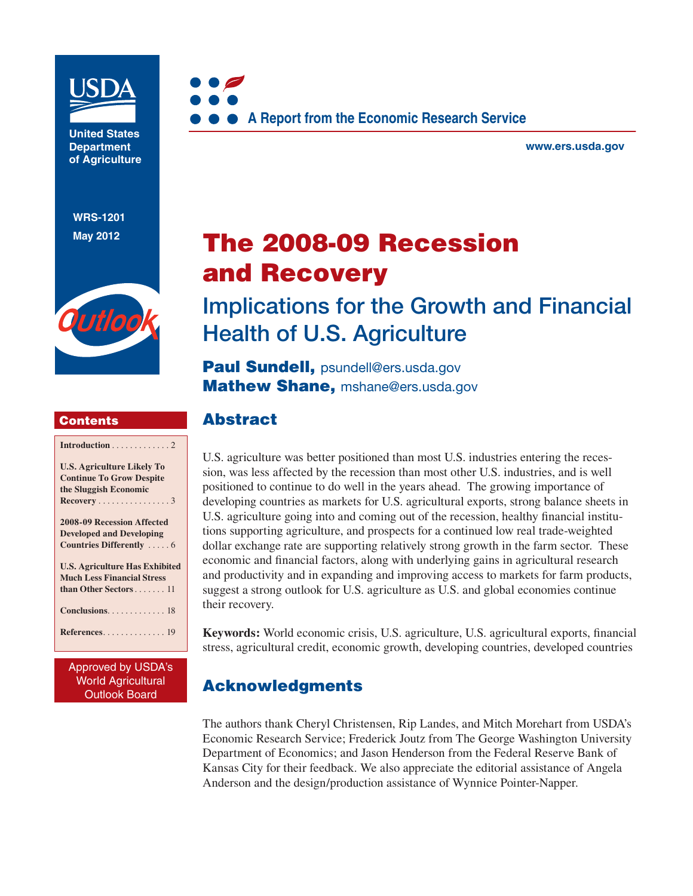

**United States Department of Agriculture** 

**WRS-1201 May 2012**



### **Contents**

| Introduction $\ldots \ldots \ldots \ldots 2$ |
|----------------------------------------------|
| <b>U.S. Agriculture Likely To</b>            |
| <b>Continue To Grow Despite</b>              |
| the Sluggish Economic                        |
| Recovery 3                                   |
| 2008-09 Recession Affected                   |
| <b>Developed and Developing</b>              |
| Countries Differently  6                     |
| <b>U.S. Agriculture Has Exhibited</b>        |
| <b>Much Less Financial Stress</b>            |
| than Other Sectors 11                        |
| Conclusions 18                               |
| $References. \ldots \ldots \ldots \ldots 19$ |
|                                              |

Approved by USDA's World Agricultural Outlook Board



**www.ers.usda.gov** 

# **The 2008-09 Recession and Recovery**

# **Implications for the Growth and Financial Health of U.S. Agriculture**

**Paul Sundell, psundell@ers.usda.gov Mathew Shane,** mshane@ers.usda.gov

## **Abstract**

U.S. agriculture was better positioned than most U.S. industries entering the recession, was less affected by the recession than most other U.S. industries, and is well positioned to continue to do well in the years ahead. The growing importance of developing countries as markets for U.S. agricultural exports, strong balance sheets in U.S. agriculture going into and coming out of the recession, healthy financial institutions supporting agriculture, and prospects for a continued low real trade-weighted dollar exchange rate are supporting relatively strong growth in the farm sector. These economic and financial factors, along with underlying gains in agricultural research and productivity and in expanding and improving access to markets for farm products, suggest a strong outlook for U.S. agriculture as U.S. and global economies continue their recovery.

**Keywords:** World economic crisis, U.S. agriculture, U.S. agricultural exports, financial stress, agricultural credit, economic growth, developing countries, developed countries

# **Acknowledgments**

The authors thank Cheryl Christensen, Rip Landes, and Mitch Morehart from USDA's Economic Research Service; Frederick Joutz from The George Washington University Department of Economics; and Jason Henderson from the Federal Reserve Bank of Kansas City for their feedback. We also appreciate the editorial assistance of Angela Anderson and the design/production assistance of Wynnice Pointer-Napper.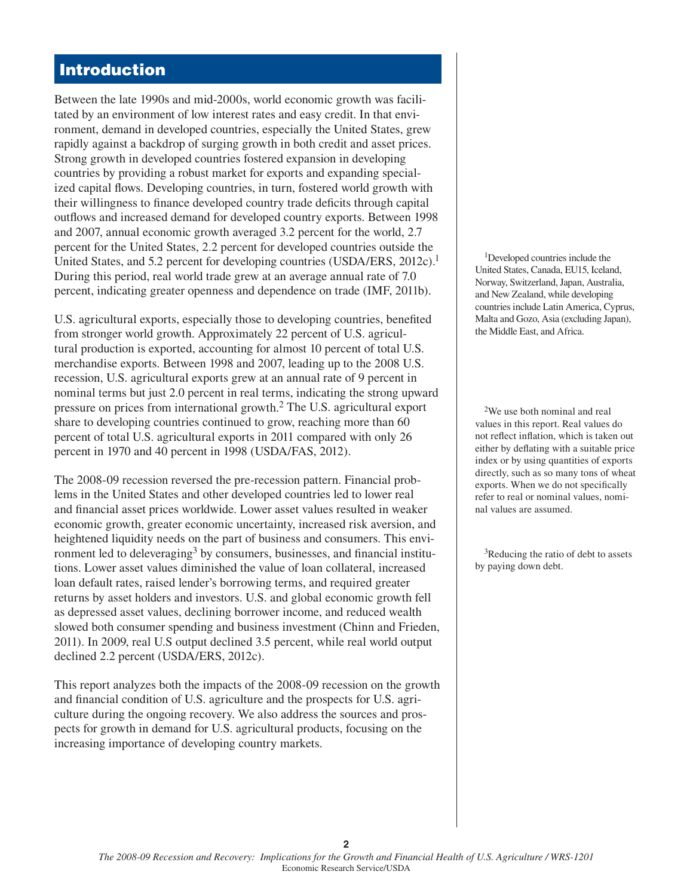## **Introduction**

Between the late 1990s and mid-2000s, world economic growth was facilitated by an environment of low interest rates and easy credit. In that environment, demand in developed countries, especially the United States, grew rapidly against a backdrop of surging growth in both credit and asset prices. Strong growth in developed countries fostered expansion in developing countries by providing a robust market for exports and expanding specialized capital flows. Developing countries, in turn, fostered world growth with their willingness to finance developed country trade deficits through capital outflows and increased demand for developed country exports. Between 1998 and 2007, annual economic growth averaged 3.2 percent for the world, 2.7 percent for the United States, 2.2 percent for developed countries outside the United States, and 5.2 percent for developing countries (USDA/ERS, 2012c).<sup>1</sup> During this period, real world trade grew at an average annual rate of 7.0 percent, indicating greater openness and dependence on trade (IMF, 2011b).

U.S. agricultural exports, especially those to developing countries, benefited from stronger world growth. Approximately 22 percent of U.S. agricultural production is exported, accounting for almost 10 percent of total U.S. merchandise exports. Between 1998 and 2007, leading up to the 2008 U.S. recession, U.S. agricultural exports grew at an annual rate of 9 percent in nominal terms but just 2.0 percent in real terms, indicating the strong upward pressure on prices from international growth.2 The U.S. agricultural export share to developing countries continued to grow, reaching more than 60 percent of total U.S. agricultural exports in 2011 compared with only 26 percent in 1970 and 40 percent in 1998 (USDA/FAS, 2012).

The 2008-09 recession reversed the pre-recession pattern. Financial problems in the United States and other developed countries led to lower real and financial asset prices worldwide. Lower asset values resulted in weaker economic growth, greater economic uncertainty, increased risk aversion, and heightened liquidity needs on the part of business and consumers. This environment led to deleveraging<sup>3</sup> by consumers, businesses, and financial institutions. Lower asset values diminished the value of loan collateral, increased loan default rates, raised lender's borrowing terms, and required greater returns by asset holders and investors. U.S. and global economic growth fell as depressed asset values, declining borrower income, and reduced wealth slowed both consumer spending and business investment (Chinn and Frieden, 2011). In 2009, real U.S output declined 3.5 percent, while real world output declined 2.2 percent (USDA/ERS, 2012c).

This report analyzes both the impacts of the 2008-09 recession on the growth and financial condition of U.S. agriculture and the prospects for U.S. agriculture during the ongoing recovery. We also address the sources and prospects for growth in demand for U.S. agricultural products, focusing on the increasing importance of developing country markets.

1Developed countries include the United States, Canada, EU15, Iceland, Norway, Switzerland, Japan, Australia, and New Zealand, while developing countries include Latin America, Cyprus, Malta and Gozo, Asia (excluding Japan), the Middle East, and Africa.

2We use both nominal and real values in this report. Real values do not reflect inflation, which is taken out either by deflating with a suitable price index or by using quantities of exports directly, such as so many tons of wheat exports. When we do not specifically refer to real or nominal values, nominal values are assumed.

3Reducing the ratio of debt to assets by paying down debt.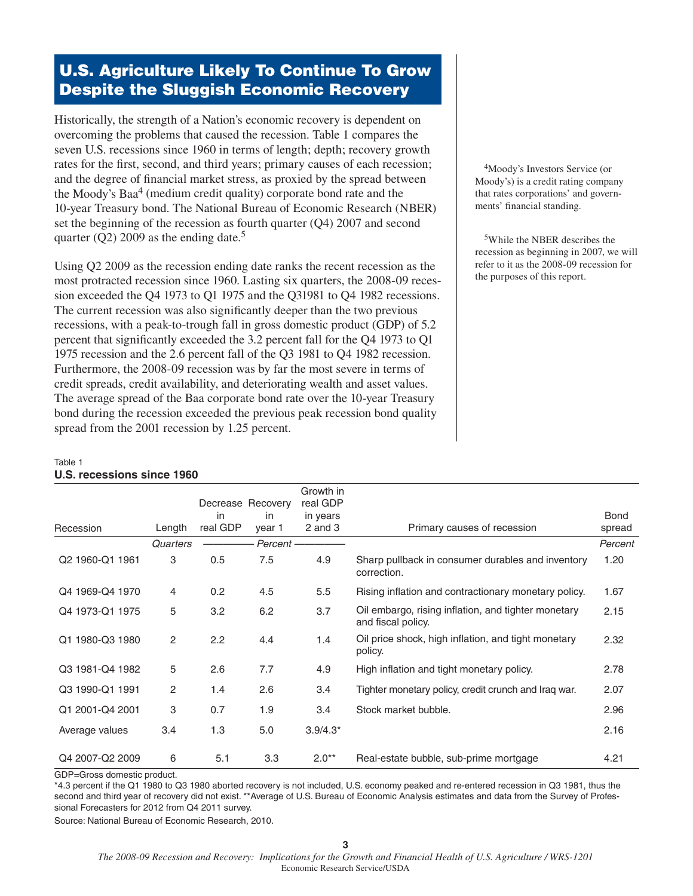# **U.S. Agriculture Likely To Continue To Grow Despite the Sluggish Economic Recovery**

Historically, the strength of a Nation's economic recovery is dependent on overcoming the problems that caused the recession. Table 1 compares the seven U.S. recessions since 1960 in terms of length; depth; recovery growth rates for the first, second, and third years; primary causes of each recession; and the degree of financial market stress, as proxied by the spread between the Moody's Baa<sup>4</sup> (medium credit quality) corporate bond rate and the 10-year Treasury bond. The National Bureau of Economic Research (NBER) set the beginning of the recession as fourth quarter (Q4) 2007 and second quarter (Q2) 2009 as the ending date.<sup>5</sup>

Using Q2 2009 as the recession ending date ranks the recent recession as the most protracted recession since 1960. Lasting six quarters, the 2008-09 recession exceeded the Q4 1973 to Q1 1975 and the Q31981 to Q4 1982 recessions. The current recession was also significantly deeper than the two previous recessions, with a peak-to-trough fall in gross domestic product (GDP) of 5.2 percent that significantly exceeded the 3.2 percent fall for the Q4 1973 to Q1 1975 recession and the 2.6 percent fall of the Q3 1981 to Q4 1982 recession. Furthermore, the 2008-09 recession was by far the most severe in terms of credit spreads, credit availability, and deteriorating wealth and asset values. The average spread of the Baa corporate bond rate over the 10-year Treasury bond during the recession exceeded the previous peak recession bond quality spread from the 2001 recession by 1.25 percent.

4Moody's Investors Service (or Moody's) is a credit rating company that rates corporations' and governments' financial standing.

5While the NBER describes the recession as beginning in 2007, we will refer to it as the 2008-09 recession for the purposes of this report.

#### Table 1

#### **U.S. recessions since 1960**

|                 |          | Decrease Recovery |          | Growth in<br>real GDP |                                                                           |             |
|-----------------|----------|-------------------|----------|-----------------------|---------------------------------------------------------------------------|-------------|
|                 |          | in                | in       | in years              |                                                                           | <b>Bond</b> |
| Recession       | Length   | real GDP          | year 1   | $2$ and $3$           | Primary causes of recession                                               | spread      |
|                 | Quarters |                   | Percent- |                       |                                                                           | Percent     |
| Q2 1960-Q1 1961 | 3        | 0.5               | 7.5      | 4.9                   | Sharp pullback in consumer durables and inventory<br>correction.          | 1.20        |
| Q4 1969-Q4 1970 | 4        | 0.2               | 4.5      | 5.5                   | Rising inflation and contractionary monetary policy.                      | 1.67        |
| Q4 1973-Q1 1975 | 5        | 3.2               | 6.2      | 3.7                   | Oil embargo, rising inflation, and tighter monetary<br>and fiscal policy. | 2.15        |
| Q1 1980-Q3 1980 | 2        | 2.2               | 4.4      | 1.4                   | Oil price shock, high inflation, and tight monetary<br>policy.            | 2.32        |
| Q3 1981-Q4 1982 | 5        | 2.6               | 7.7      | 4.9                   | High inflation and tight monetary policy.                                 | 2.78        |
| Q3 1990-Q1 1991 | 2        | 1.4               | 2.6      | 3.4                   | Tighter monetary policy, credit crunch and Iraq war.                      | 2.07        |
| Q1 2001-Q4 2001 | 3        | 0.7               | 1.9      | 3.4                   | Stock market bubble.                                                      | 2.96        |
| Average values  | 3.4      | 1.3               | 5.0      | $3.9/4.3*$            |                                                                           | 2.16        |
| Q4 2007-Q2 2009 | 6        | 5.1               | 3.3      | $2.0**$               | Real-estate bubble, sub-prime mortgage                                    | 4.21        |

GDP=Gross domestic product.

\*4.3 percent if the Q1 1980 to Q3 1980 aborted recovery is not included, U.S. economy peaked and re-entered recession in Q3 1981, thus the second and third year of recovery did not exist. \*\*Average of U.S. Bureau of Economic Analysis estimates and data from the Survey of Professional Forecasters for 2012 from Q4 2011 survey.

Source: National Bureau of Economic Research, 2010.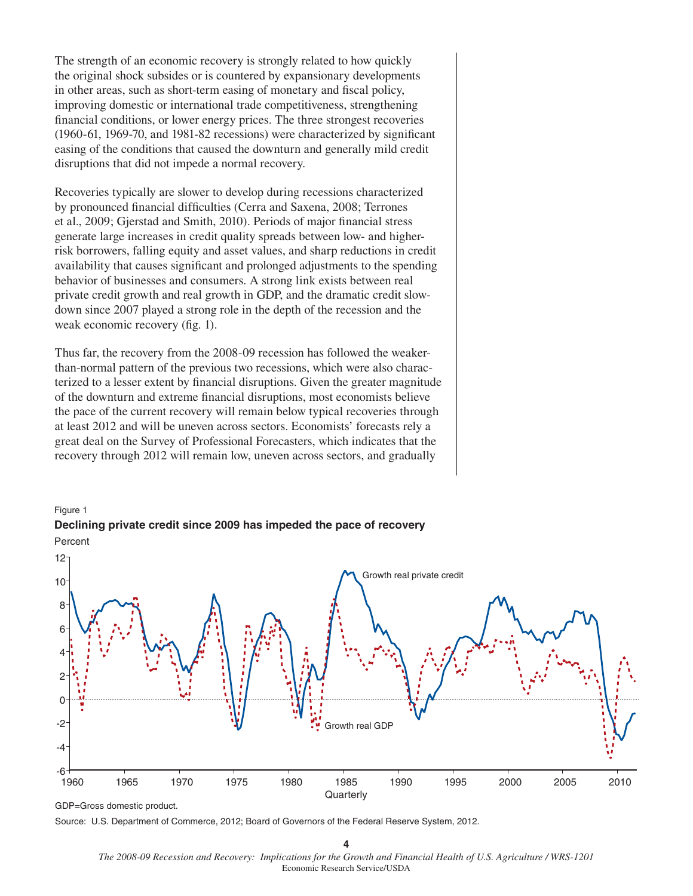The strength of an economic recovery is strongly related to how quickly the original shock subsides or is countered by expansionary developments in other areas, such as short-term easing of monetary and fiscal policy, improving domestic or international trade competitiveness, strengthening financial conditions, or lower energy prices. The three strongest recoveries  $(1960-61, 1969-70,$  and  $1981-82$  recessions) were characterized by significant easing of the conditions that caused the downturn and generally mild credit disruptions that did not impede a normal recovery.

Recoveries typically are slower to develop during recessions characterized by pronounced financial difficulties (Cerra and Saxena, 2008; Terrones et al., 2009; Gjerstad and Smith, 2010). Periods of major financial stress generate large increases in credit quality spreads between low- and higherrisk borrowers, falling equity and asset values, and sharp reductions in credit availability that causes significant and prolonged adjustments to the spending behavior of businesses and consumers. A strong link exists between real private credit growth and real growth in GDP, and the dramatic credit slowdown since 2007 played a strong role in the depth of the recession and the weak economic recovery (fig. 1).

Thus far, the recovery from the 2008-09 recession has followed the weakerthan-normal pattern of the previous two recessions, which were also characterized to a lesser extent by financial disruptions. Given the greater magnitude of the downturn and extreme financial disruptions, most economists believe the pace of the current recovery will remain below typical recoveries through at least 2012 and will be uneven across sectors. Economists' forecasts rely a great deal on the Survey of Professional Forecasters, which indicates that the recovery through 2012 will remain low, uneven across sectors, and gradually



## Figure 1 **Declining private credit since 2009 has impeded the pace of recovery**

**4**

*The 2008-09 Recession and Recovery: Implications for the Growth and Financial Health of U.S. Agriculture / WRS-1201*  Economic Research Service/USDA

GDP=Gross domestic product.

Source: U.S. Department of Commerce, 2012; Board of Governors of the Federal Reserve System, 2012.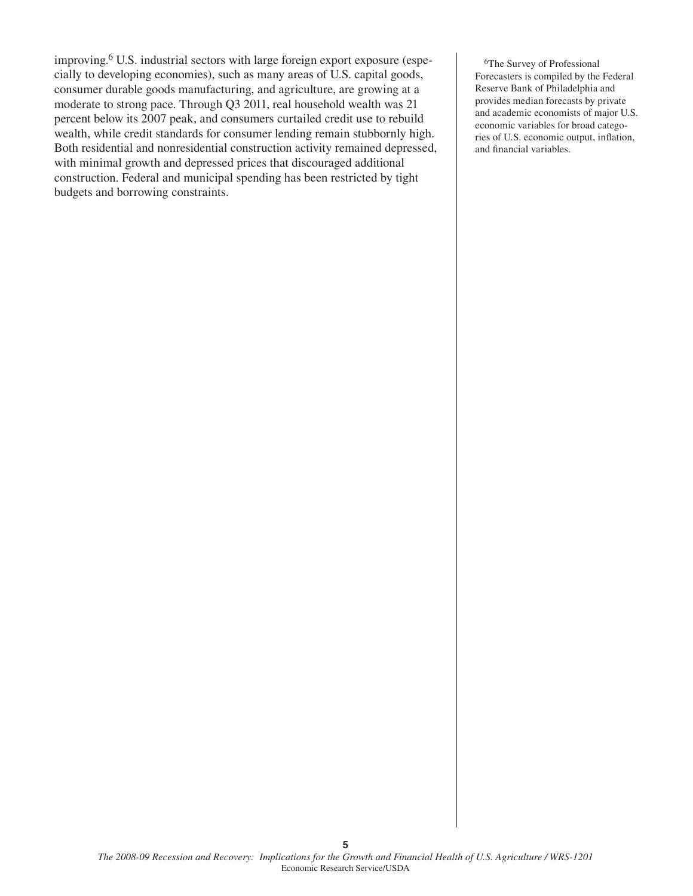improving.6 U.S. industrial sectors with large foreign export exposure (especially to developing economies), such as many areas of U.S. capital goods, consumer durable goods manufacturing, and agriculture, are growing at a moderate to strong pace. Through Q3 2011, real household wealth was 21 percent below its 2007 peak, and consumers curtailed credit use to rebuild wealth, while credit standards for consumer lending remain stubbornly high. Both residential and nonresidential construction activity remained depressed, with minimal growth and depressed prices that discouraged additional construction. Federal and municipal spending has been restricted by tight budgets and borrowing constraints.

6The Survey of Professional Forecasters is compiled by the Federal Reserve Bank of Philadelphia and provides median forecasts by private and academic economists of major U.S. economic variables for broad categories of U.S. economic output, inflation, and financial variables.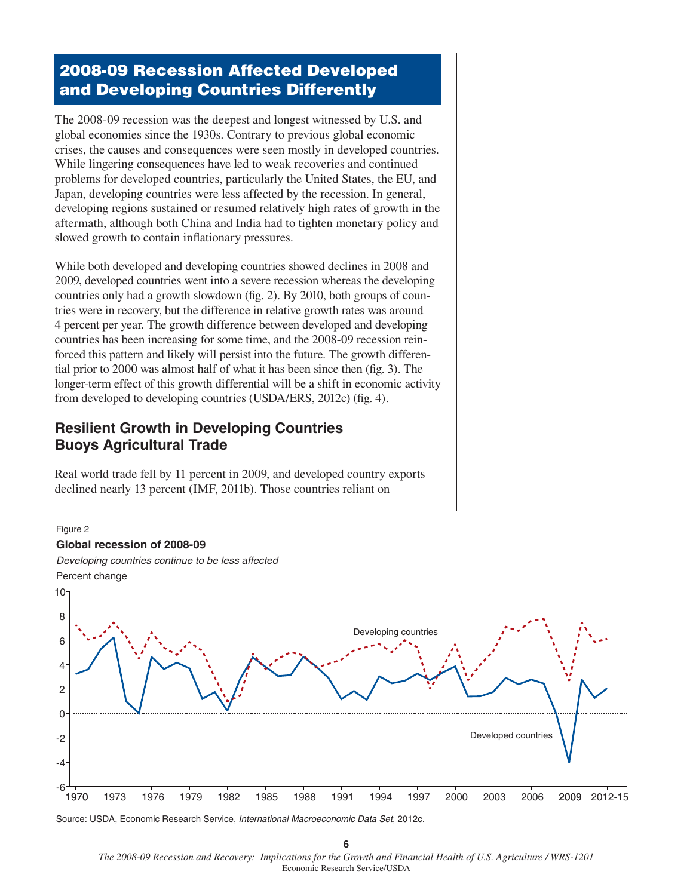# **2008-09 Recession Affected Developed and Developing Countries Differently**

The 2008-09 recession was the deepest and longest witnessed by U.S. and global economies since the 1930s. Contrary to previous global economic crises, the causes and consequences were seen mostly in developed countries. While lingering consequences have led to weak recoveries and continued problems for developed countries, particularly the United States, the EU, and Japan, developing countries were less affected by the recession. In general, developing regions sustained or resumed relatively high rates of growth in the aftermath, although both China and India had to tighten monetary policy and slowed growth to contain inflationary pressures.

While both developed and developing countries showed declines in 2008 and 2009, developed countries went into a severe recession whereas the developing countries only had a growth slowdown (fig. 2). By 2010, both groups of countries were in recovery, but the difference in relative growth rates was around 4 percent per year. The growth difference between developed and developing countries has been increasing for some time, and the 2008-09 recession reinforced this pattern and likely will persist into the future. The growth differential prior to  $2000$  was almost half of what it has been since then (fig. 3). The longer-term effect of this growth differential will be a shift in economic activity from developed to developing countries (USDA/ERS, 2012c) (fig. 4).

## **Resilient Growth in Developing Countries Buoys Agricultural Trade**

Real world trade fell by 11 percent in 2009, and developed country exports declined nearly 13 percent (IMF, 2011b). Those countries reliant on



Source: USDA, Economic Research Service, *International Macroeconomic Data Set*, 2012c.

**6** *The 2008-09 Recession and Recovery: Implications for the Growth and Financial Health of U.S. Agriculture / WRS-1201*  Economic Research Service/USDA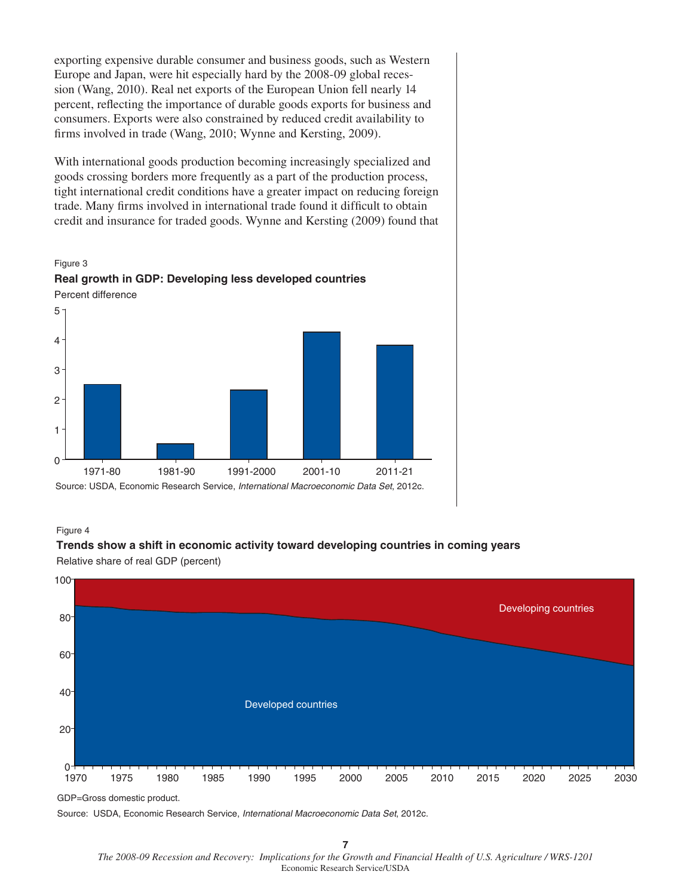exporting expensive durable consumer and business goods, such as Western Europe and Japan, were hit especially hard by the 2008-09 global recession (Wang, 2010). Real net exports of the European Union fell nearly 14 percent, reflecting the importance of durable goods exports for business and consumers. Exports were also constrained by reduced credit availability to firms involved in trade (Wang, 2010; Wynne and Kersting, 2009).

With international goods production becoming increasingly specialized and goods crossing borders more frequently as a part of the production process, tight international credit conditions have a greater impact on reducing foreign trade. Many firms involved in international trade found it difficult to obtain credit and insurance for traded goods. Wynne and Kersting (2009) found that





Figure 4



**Trends show a shift in economic activity toward developing countries in coming years**

Relative share of real GDP (percent)

GDP=Gross domestic product.

Source: USDA, Economic Research Service, *International Macroeconomic Data Set*, 2012c.

*The 2008-09 Recession and Recovery: Implications for the Growth and Financial Health of U.S. Agriculture / WRS-1201* Economic Research Service/USDA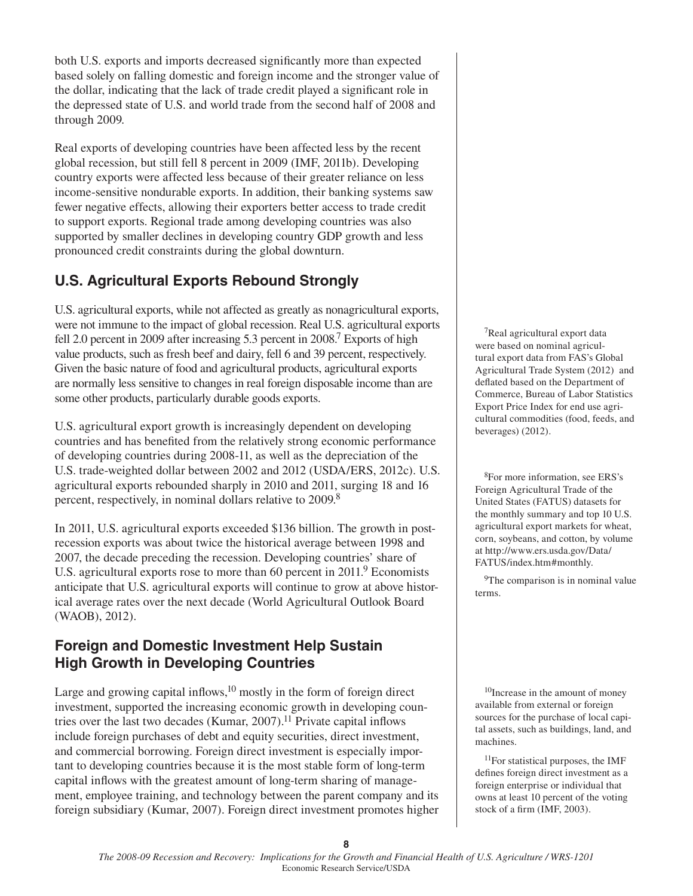both U.S. exports and imports decreased significantly more than expected based solely on falling domestic and foreign income and the stronger value of the dollar, indicating that the lack of trade credit played a significant role in the depressed state of U.S. and world trade from the second half of 2008 and through 2009.

Real exports of developing countries have been affected less by the recent global recession, but still fell 8 percent in 2009 (IMF, 2011b). Developing country exports were affected less because of their greater reliance on less income-sensitive nondurable exports. In addition, their banking systems saw fewer negative effects, allowing their exporters better access to trade credit to support exports. Regional trade among developing countries was also supported by smaller declines in developing country GDP growth and less pronounced credit constraints during the global downturn.

# **U.S. Agricultural Exports Rebound Strongly**

U.S. agricultural exports, while not affected as greatly as nonagricultural exports, were not immune to the impact of global recession. Real U.S. agricultural exports fell 2.0 percent in 2009 after increasing 5.3 percent in 2008.<sup>7</sup> Exports of high value products, such as fresh beef and dairy, fell 6 and 39 percent, respectively. Given the basic nature of food and agricultural products, agricultural exports are normally less sensitive to changes in real foreign disposable income than are some other products, particularly durable goods exports.

U.S. agricultural export growth is increasingly dependent on developing countries and has benefited from the relatively strong economic performance of developing countries during 2008-11, as well as the depreciation of the U.S. trade-weighted dollar between 2002 and 2012 (USDA/ERS, 2012c). U.S. agricultural exports rebounded sharply in 2010 and 2011, surging 18 and 16 percent, respectively, in nominal dollars relative to 2009.8

In 2011, U.S. agricultural exports exceeded \$136 billion. The growth in postrecession exports was about twice the historical average between 1998 and 2007, the decade preceding the recession. Developing countries' share of U.S. agricultural exports rose to more than 60 percent in 2011.<sup>9</sup> Economists anticipate that U.S. agricultural exports will continue to grow at above historical average rates over the next decade (World Agricultural Outlook Board (WAOB), 2012).

## **Foreign and Domestic Investment Help Sustain High Growth in Developing Countries**

Large and growing capital inflows,  $10 \text{ mostly in the form of foreign direct}$ investment, supported the increasing economic growth in developing countries over the last two decades (Kumar, 2007).<sup>11</sup> Private capital inflows include foreign purchases of debt and equity securities, direct investment, and commercial borrowing. Foreign direct investment is especially important to developing countries because it is the most stable form of long-term capital inflows with the greatest amount of long-term sharing of management, employee training, and technology between the parent company and its foreign subsidiary (Kumar, 2007). Foreign direct investment promotes higher

7Real agricultural export data were based on nominal agricultural export data from FAS's Global Agricultural Trade System (2012) and deflated based on the Department of Commerce, Bureau of Labor Statistics Export Price Index for end use agricultural commodities (food, feeds, and beverages) (2012).

8For more information, see ERS's Foreign Agricultural Trade of the United States (FATUS) datasets for the monthly summary and top 10 U.S. agricultural export markets for wheat, corn, soybeans, and cotton, by volume at http://www.ers.usda.gov/Data/ FATUS/index.htm#monthly.

<sup>9</sup>The comparison is in nominal value terms.

<sup>10</sup>Increase in the amount of money available from external or foreign sources for the purchase of local capital assets, such as buildings, land, and machines.

11For statistical purposes, the IMF defines foreign direct investment as a foreign enterprise or individual that owns at least 10 percent of the voting stock of a firm (IMF, 2003).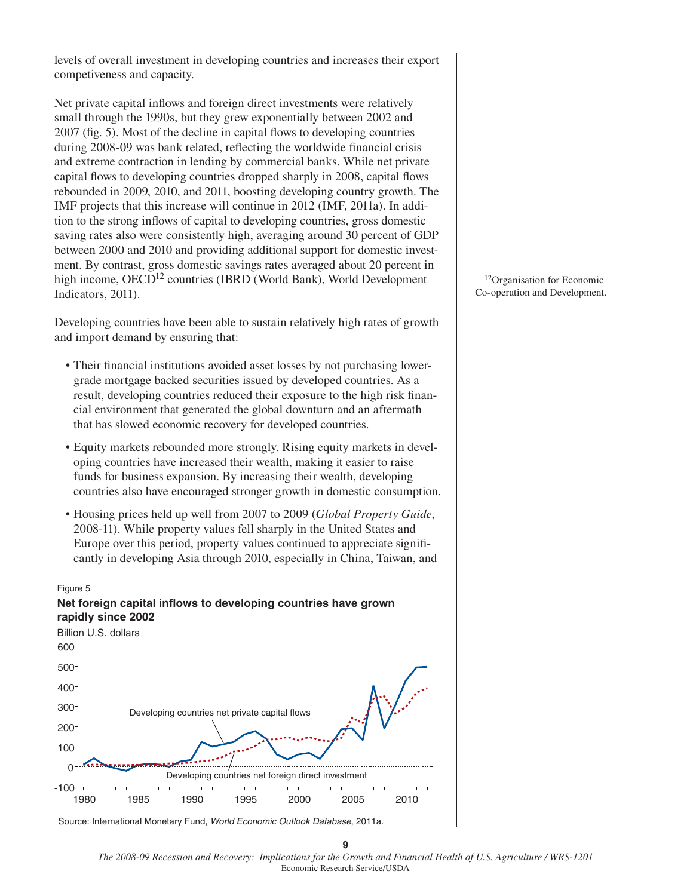levels of overall investment in developing countries and increases their export competiveness and capacity.

Net private capital inflows and foreign direct investments were relatively small through the 1990s, but they grew exponentially between 2002 and  $2007$  (fig. 5). Most of the decline in capital flows to developing countries during 2008-09 was bank related, reflecting the worldwide financial crisis and extreme contraction in lending by commercial banks. While net private capital flows to developing countries dropped sharply in 2008, capital flows rebounded in 2009, 2010, and 2011, boosting developing country growth. The IMF projects that this increase will continue in 2012 (IMF, 2011a). In addition to the strong inflows of capital to developing countries, gross domestic saving rates also were consistently high, averaging around 30 percent of GDP between 2000 and 2010 and providing additional support for domestic investment. By contrast, gross domestic savings rates averaged about 20 percent in high income, OECD<sup>12</sup> countries (IBRD (World Bank), World Development Indicators, 2011).

Developing countries have been able to sustain relatively high rates of growth and import demand by ensuring that:

- Their financial institutions avoided asset losses by not purchasing lowergrade mortgage backed securities issued by developed countries. As a result, developing countries reduced their exposure to the high risk financial environment that generated the global downturn and an aftermath that has slowed economic recovery for developed countries.
- Equity markets rebounded more strongly. Rising equity markets in developing countries have increased their wealth, making it easier to raise funds for business expansion. By increasing their wealth, developing countries also have encouraged stronger growth in domestic consumption.
- Housing prices held up well from 2007 to 2009 (*Global Property Guide*, 2008-11). While property values fell sharply in the United States and Europe over this period, property values continued to appreciate significantly in developing Asia through 2010, especially in China, Taiwan, and

#### Figure 5

## **Net foreign capital inflows to developing countries have grown rapidly since 2002**



Source: International Monetary Fund, *World Economic Outlook Database*, 2011a.

12Organisation for Economic Co-operation and Development.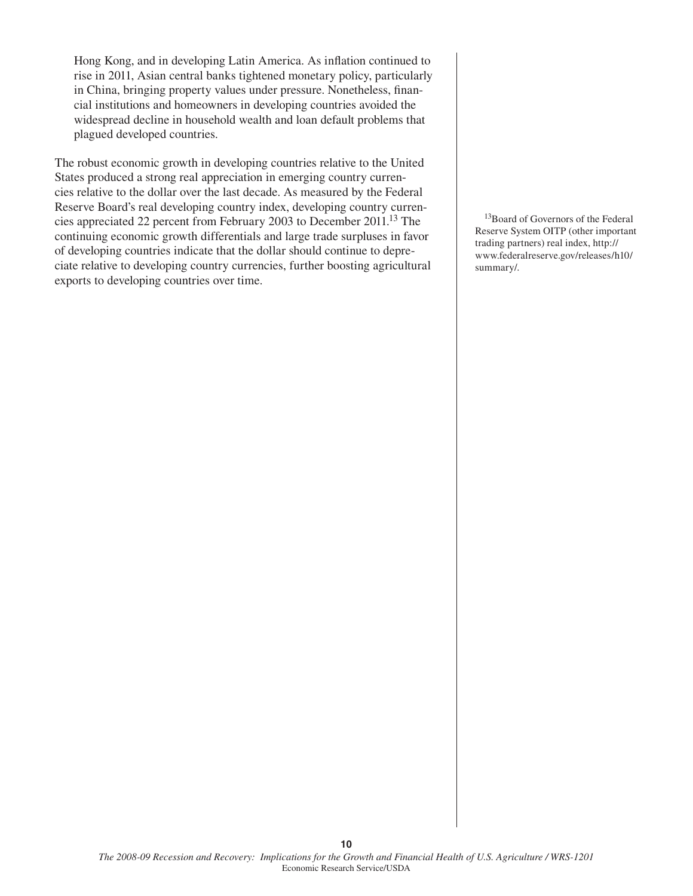Hong Kong, and in developing Latin America. As inflation continued to rise in 2011, Asian central banks tightened monetary policy, particularly in China, bringing property values under pressure. Nonetheless, financial institutions and homeowners in developing countries avoided the widespread decline in household wealth and loan default problems that plagued developed countries.

The robust economic growth in developing countries relative to the United States produced a strong real appreciation in emerging country currencies relative to the dollar over the last decade. As measured by the Federal Reserve Board's real developing country index, developing country currencies appreciated 22 percent from February 2003 to December 2011.13 The continuing economic growth differentials and large trade surpluses in favor of developing countries indicate that the dollar should continue to depreciate relative to developing country currencies, further boosting agricultural exports to developing countries over time.

13Board of Governors of the Federal Reserve System OITP (other important trading partners) real index, http:// www.federalreserve.gov/releases/h10/ summary/.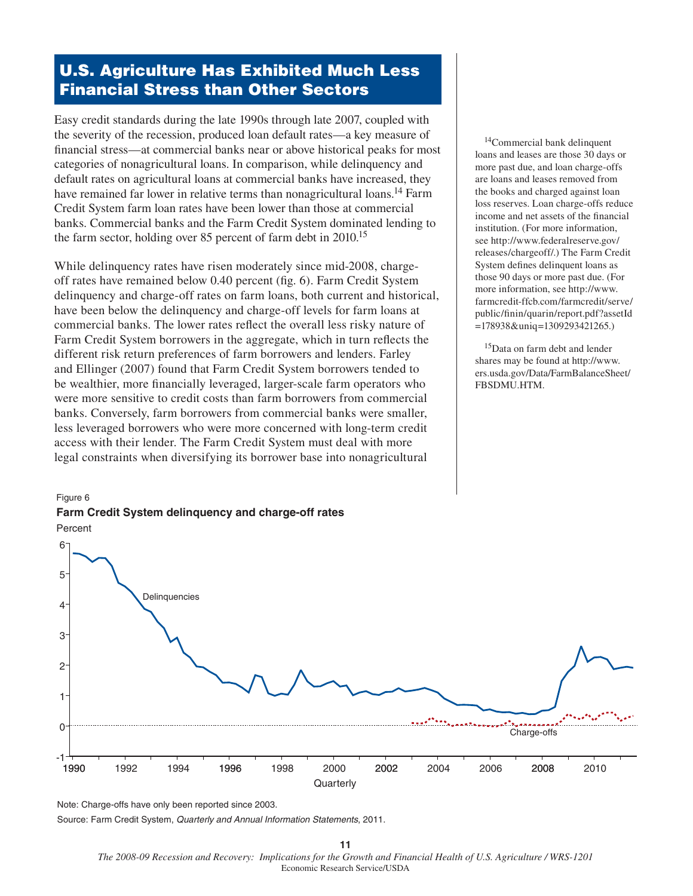# **U.S. Agriculture Has Exhibited Much Less Financial Stress than Other Sectors**

Easy credit standards during the late 1990s through late 2007, coupled with the severity of the recession, produced loan default rates—a key measure of financial stress—at commercial banks near or above historical peaks for most categories of nonagricultural loans. In comparison, while delinquency and default rates on agricultural loans at commercial banks have increased, they have remained far lower in relative terms than nonagricultural loans.<sup>14</sup> Farm Credit System farm loan rates have been lower than those at commercial banks. Commercial banks and the Farm Credit System dominated lending to the farm sector, holding over 85 percent of farm debt in 2010.15

While delinquency rates have risen moderately since mid-2008, chargeoff rates have remained below 0.40 percent (fig. 6). Farm Credit System delinquency and charge-off rates on farm loans, both current and historical, have been below the delinquency and charge-off levels for farm loans at commercial banks. The lower rates reflect the overall less risky nature of Farm Credit System borrowers in the aggregate, which in turn reflects the different risk return preferences of farm borrowers and lenders. Farley and Ellinger (2007) found that Farm Credit System borrowers tended to be wealthier, more financially leveraged, larger-scale farm operators who were more sensitive to credit costs than farm borrowers from commercial banks. Conversely, farm borrowers from commercial banks were smaller, less leveraged borrowers who were more concerned with long-term credit access with their lender. The Farm Credit System must deal with more legal constraints when diversifying its borrower base into nonagricultural

## Figure 6 **Farm Credit System delinquency and charge-off rates**

14Commercial bank delinquent loans and leases are those 30 days or more past due, and loan charge-offs are loans and leases removed from the books and charged against loan loss reserves. Loan charge-offs reduce income and net assets of the financial institution. (For more information, see http://www.federalreserve.gov/ releases/chargeoff/.) The Farm Credit System defines delinquent loans as those 90 days or more past due. (For more information, see http://www. farmcredit-ffcb.com/farmcredit/serve/ public/finin/quarin/report.pdf?assetId =178938&uniq=1309293421265.)

15Data on farm debt and lender shares may be found at http://www. ers.usda.gov/Data/FarmBalanceSheet/ FBSDMU.HTM.



Note: Charge-offs have only been reported since 2003.

Source: Farm Credit System, *Quarterly and Annual Information Statements*, 2011.

*The 2008-09 Recession and Recovery: Implications for the Growth and Financial Health of U.S. Agriculture / WRS-1201* Economic Research Service/USDA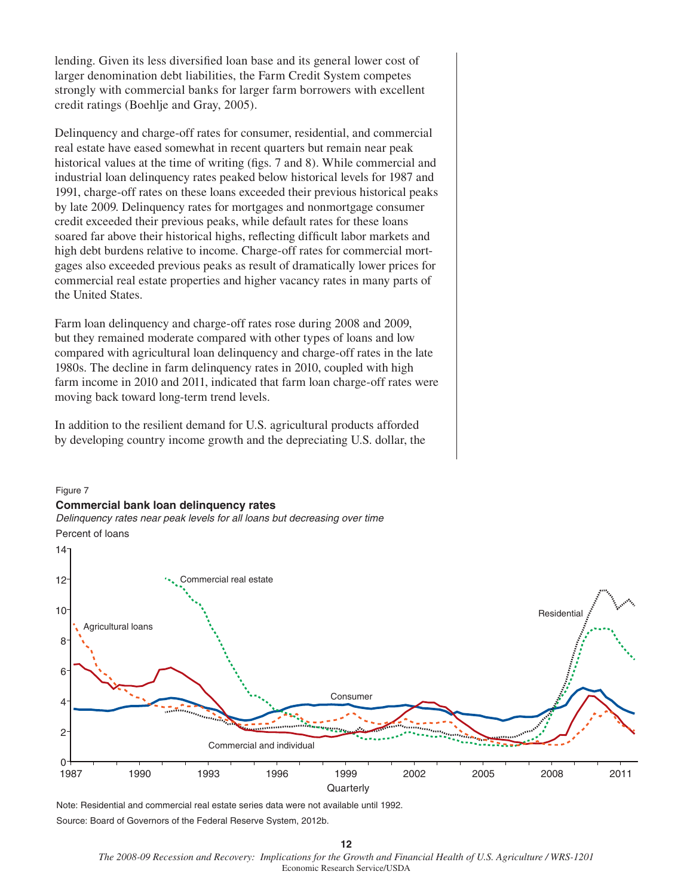lending. Given its less diversified loan base and its general lower cost of larger denomination debt liabilities, the Farm Credit System competes strongly with commercial banks for larger farm borrowers with excellent credit ratings (Boehlje and Gray, 2005).

Delinquency and charge-off rates for consumer, residential, and commercial real estate have eased somewhat in recent quarters but remain near peak historical values at the time of writing (figs. 7 and 8). While commercial and industrial loan delinquency rates peaked below historical levels for 1987 and 1991, charge-off rates on these loans exceeded their previous historical peaks by late 2009. Delinquency rates for mortgages and nonmortgage consumer credit exceeded their previous peaks, while default rates for these loans soared far above their historical highs, reflecting difficult labor markets and high debt burdens relative to income. Charge-off rates for commercial mortgages also exceeded previous peaks as result of dramatically lower prices for commercial real estate properties and higher vacancy rates in many parts of the United States.

Farm loan delinquency and charge-off rates rose during 2008 and 2009, but they remained moderate compared with other types of loans and low compared with agricultural loan delinquency and charge-off rates in the late 1980s. The decline in farm delinquency rates in 2010, coupled with high farm income in 2010 and 2011, indicated that farm loan charge-off rates were moving back toward long-term trend levels.

In addition to the resilient demand for U.S. agricultural products afforded by developing country income growth and the depreciating U.S. dollar, the

# Figure 7

**Commercial bank loan delinquency rates**

*Delinquency rates near peak levels for all loans but decreasing over time* Percent of loans



Note: Residential and commercial real estate series data were not available until 1992. Source: Board of Governors of the Federal Reserve System, 2012b.

*The 2008-09 Recession and Recovery: Implications for the Growth and Financial Health of U.S. Agriculture / WRS-1201*  Economic Research Service/USDA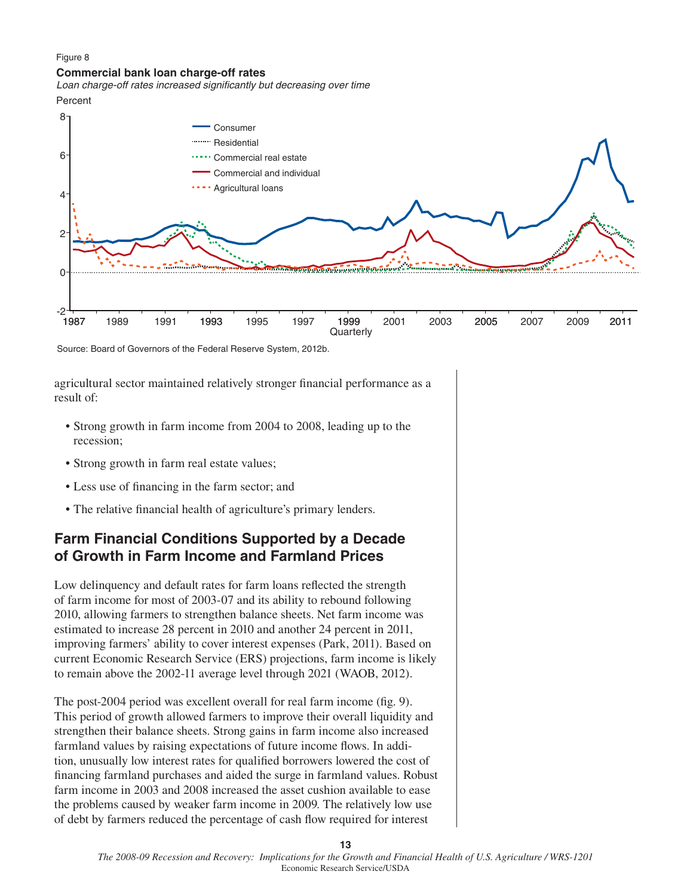#### Figure 8

#### **Commercial bank loan charge-off rates**

*Loan charge-off rates increased significantly but decreasing over time* Percent



Source: Board of Governors of the Federal Reserve System, 2012b.

agricultural sector maintained relatively stronger financial performance as a result of:

- Strong growth in farm income from 2004 to 2008, leading up to the recession;
- Strong growth in farm real estate values;
- Less use of financing in the farm sector; and
- The relative financial health of agriculture's primary lenders.

## **Farm Financial Conditions Supported by a Decade of Growth in Farm Income and Farmland Prices**

Low delinquency and default rates for farm loans reflected the strength of farm income for most of 2003-07 and its ability to rebound following 2010, allowing farmers to strengthen balance sheets. Net farm income was estimated to increase 28 percent in 2010 and another 24 percent in 2011, improving farmers' ability to cover interest expenses (Park, 2011). Based on current Economic Research Service (ERS) projections, farm income is likely to remain above the 2002-11 average level through 2021 (WAOB, 2012).

The post-2004 period was excellent overall for real farm income (fig. 9). This period of growth allowed farmers to improve their overall liquidity and strengthen their balance sheets. Strong gains in farm income also increased farmland values by raising expectations of future income flows. In addition, unusually low interest rates for qualified borrowers lowered the cost of financing farmland purchases and aided the surge in farmland values. Robust farm income in 2003 and 2008 increased the asset cushion available to ease the problems caused by weaker farm income in 2009. The relatively low use of debt by farmers reduced the percentage of cash flow required for interest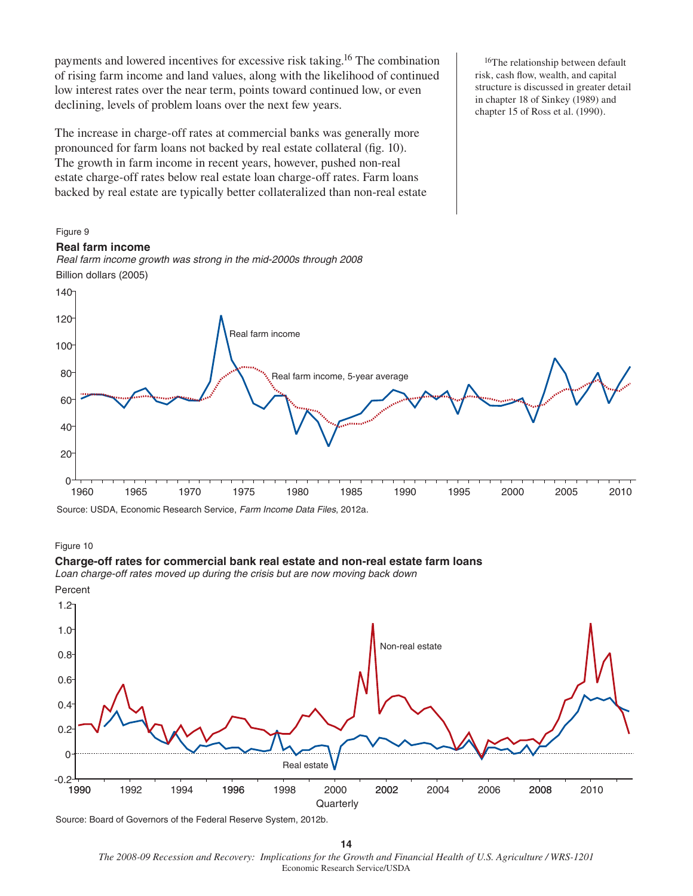payments and lowered incentives for excessive risk taking.16 The combination of rising farm income and land values, along with the likelihood of continued low interest rates over the near term, points toward continued low, or even declining, levels of problem loans over the next few years.

The increase in charge-off rates at commercial banks was generally more pronounced for farm loans not backed by real estate collateral (fig. 10). The growth in farm income in recent years, however, pushed non-real estate charge-off rates below real estate loan charge-off rates. Farm loans backed by real estate are typically better collateralized than non-real estate

*Real farm income growth was strong in the mid-2000s through 2008*

<sup>16</sup>The relationship between default risk, cash flow, wealth, and capital structure is discussed in greater detail in chapter 18 of Sinkey (1989) and chapter 15 of Ross et al. (1990).

# Source: USDA, Economic Research Service, *Farm Income Data Files*, 2012a. 1960 1965 1970 1975 1980 1985 1990 1995 2000 2005 2010 —<sup>1</sup>0<br>1960 20 40 60 80 100 120 Real farm income Real farm income, 5-year average

# Figure 10

Figure 9

140

**Real farm income**

Billion dollars (2005)

#### **Charge-off rates for commercial bank real estate and non-real estate farm loans**

*Loan charge-off rates moved up during the crisis but are now moving back down* Percent



Source: Board of Governors of the Federal Reserve System, 2012b.

*The 2008-09 Recession and Recovery: Implications for the Growth and Financial Health of U.S. Agriculture / WRS-1201*  Economic Research Service/USDA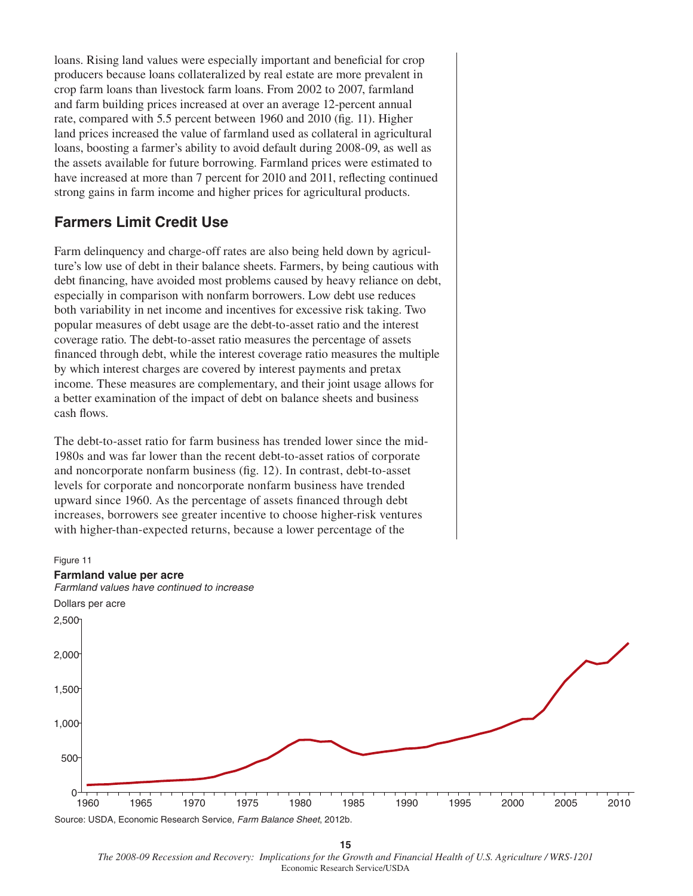loans. Rising land values were especially important and beneficial for crop producers because loans collateralized by real estate are more prevalent in crop farm loans than livestock farm loans. From 2002 to 2007, farmland and farm building prices increased at over an average 12-percent annual rate, compared with 5.5 percent between 1960 and 2010 (fig. 11). Higher land prices increased the value of farmland used as collateral in agricultural loans, boosting a farmer's ability to avoid default during 2008-09, as well as the assets available for future borrowing. Farmland prices were estimated to have increased at more than 7 percent for 2010 and 2011, reflecting continued strong gains in farm income and higher prices for agricultural products.

## **Farmers Limit Credit Use**

Farm delinquency and charge-off rates are also being held down by agriculture's low use of debt in their balance sheets. Farmers, by being cautious with debt financing, have avoided most problems caused by heavy reliance on debt, especially in comparison with nonfarm borrowers. Low debt use reduces both variability in net income and incentives for excessive risk taking. Two popular measures of debt usage are the debt-to-asset ratio and the interest coverage ratio. The debt-to-asset ratio measures the percentage of assets financed through debt, while the interest coverage ratio measures the multiple by which interest charges are covered by interest payments and pretax income. These measures are complementary, and their joint usage allows for a better examination of the impact of debt on balance sheets and business cash flows.

The debt-to-asset ratio for farm business has trended lower since the mid-1980s and was far lower than the recent debt-to-asset ratios of corporate and noncorporate nonfarm business (fig. 12). In contrast, debt-to-asset levels for corporate and noncorporate nonfarm business have trended upward since 1960. As the percentage of assets financed through debt increases, borrowers see greater incentive to choose higher-risk ventures with higher-than-expected returns, because a lower percentage of the



*The 2008-09 Recession and Recovery: Implications for the Growth and Financial Health of U.S. Agriculture / WRS-1201* Economic Research Service/USDA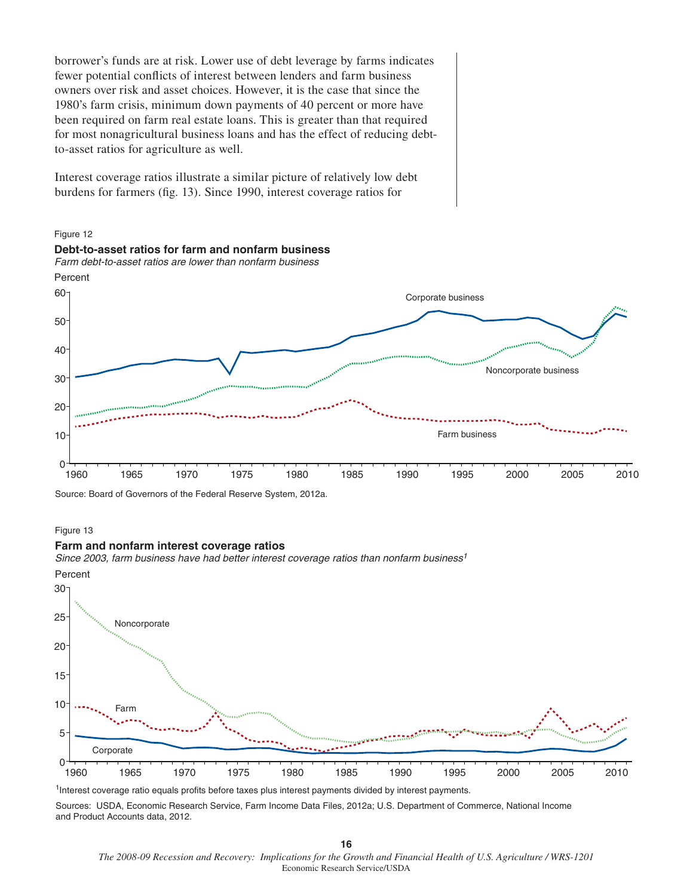borrower's funds are at risk. Lower use of debt leverage by farms indicates fewer potential conflicts of interest between lenders and farm business owners over risk and asset choices. However, it is the case that since the 1980's farm crisis, minimum down payments of 40 percent or more have been required on farm real estate loans. This is greater than that required for most nonagricultural business loans and has the effect of reducing debtto-asset ratios for agriculture as well.

Interest coverage ratios illustrate a similar picture of relatively low debt burdens for farmers (fig. 13). Since 1990, interest coverage ratios for



Source: Board of Governors of the Federal Reserve System, 2012a.

#### Figure 13

#### **Farm and nonfarm interest coverage ratios**

*Since 2003, farm business have had better interest coverage ratios than nonfarm business1*



1Interest coverage ratio equals profits before taxes plus interest payments divided by interest payments.

Sources: USDA, Economic Research Service, Farm Income Data Files, 2012a; U.S. Department of Commerce, National Income and Product Accounts data, 2012.

*The 2008-09 Recession and Recovery: Implications for the Growth and Financial Health of U.S. Agriculture / WRS-1201*  Economic Research Service/USDA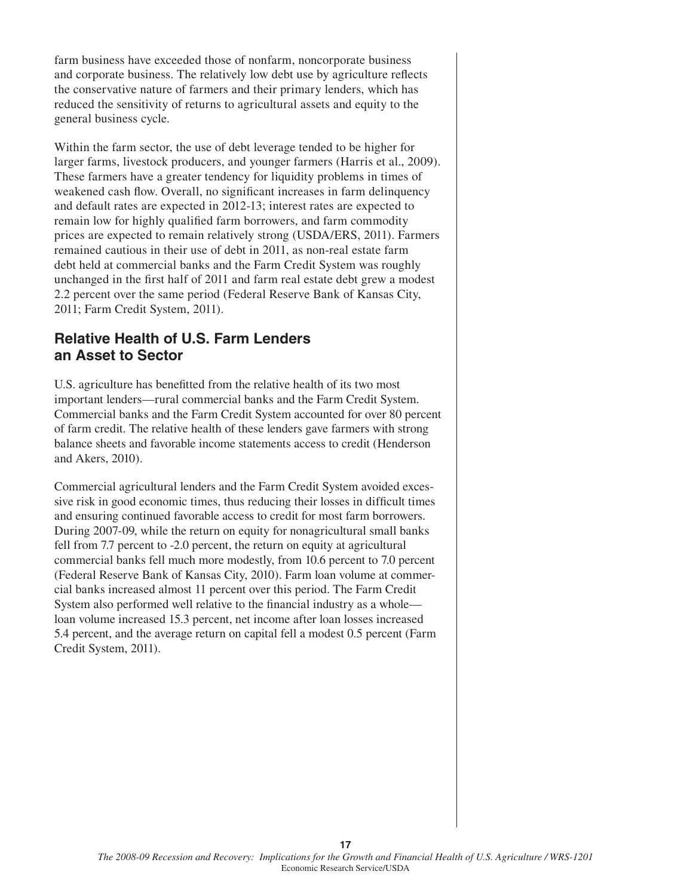farm business have exceeded those of nonfarm, noncorporate business and corporate business. The relatively low debt use by agriculture reflects the conservative nature of farmers and their primary lenders, which has reduced the sensitivity of returns to agricultural assets and equity to the general business cycle.

Within the farm sector, the use of debt leverage tended to be higher for larger farms, livestock producers, and younger farmers (Harris et al., 2009). These farmers have a greater tendency for liquidity problems in times of weakened cash flow. Overall, no significant increases in farm delinquency and default rates are expected in 2012-13; interest rates are expected to remain low for highly qualified farm borrowers, and farm commodity prices are expected to remain relatively strong (USDA/ERS, 2011). Farmers remained cautious in their use of debt in 2011, as non-real estate farm debt held at commercial banks and the Farm Credit System was roughly unchanged in the first half of 2011 and farm real estate debt grew a modest 2.2 percent over the same period (Federal Reserve Bank of Kansas City, 2011; Farm Credit System, 2011).

## **Relative Health of U.S. Farm Lenders an Asset to Sector**

U.S. agriculture has benefitted from the relative health of its two most important lenders—rural commercial banks and the Farm Credit System. Commercial banks and the Farm Credit System accounted for over 80 percent of farm credit. The relative health of these lenders gave farmers with strong balance sheets and favorable income statements access to credit (Henderson and Akers, 2010).

Commercial agricultural lenders and the Farm Credit System avoided excessive risk in good economic times, thus reducing their losses in difficult times and ensuring continued favorable access to credit for most farm borrowers. During 2007-09, while the return on equity for nonagricultural small banks fell from 7.7 percent to -2.0 percent, the return on equity at agricultural commercial banks fell much more modestly, from 10.6 percent to 7.0 percent (Federal Reserve Bank of Kansas City, 2010). Farm loan volume at commercial banks increased almost 11 percent over this period. The Farm Credit System also performed well relative to the financial industry as a whole loan volume increased 15.3 percent, net income after loan losses increased 5.4 percent, and the average return on capital fell a modest 0.5 percent (Farm Credit System, 2011).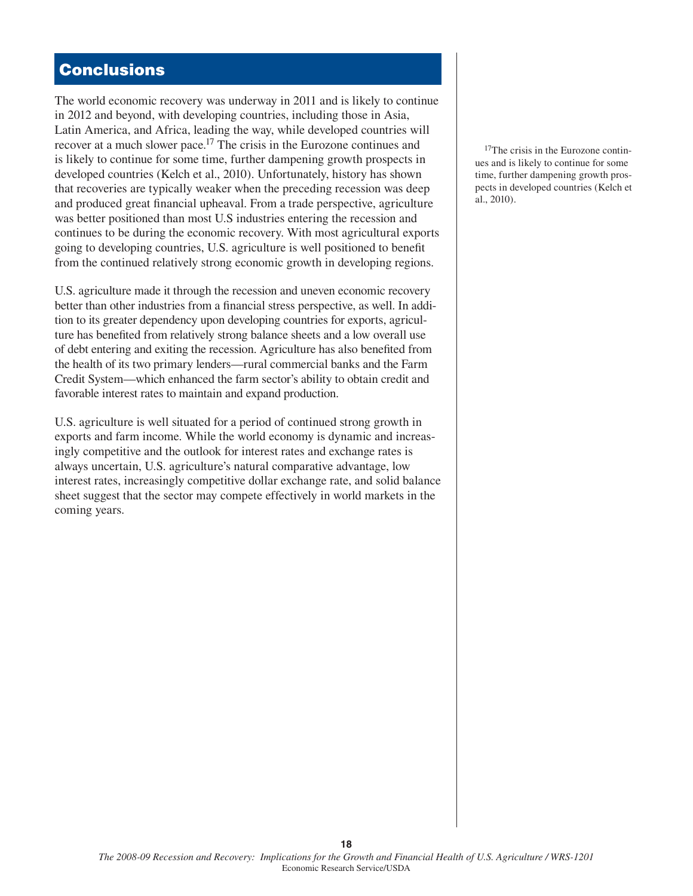# **Conclusions**

The world economic recovery was underway in 2011 and is likely to continue in 2012 and beyond, with developing countries, including those in Asia, Latin America, and Africa, leading the way, while developed countries will recover at a much slower pace.17 The crisis in the Eurozone continues and is likely to continue for some time, further dampening growth prospects in developed countries (Kelch et al., 2010). Unfortunately, history has shown that recoveries are typically weaker when the preceding recession was deep and produced great financial upheaval. From a trade perspective, agriculture was better positioned than most U.S industries entering the recession and continues to be during the economic recovery. With most agricultural exports going to developing countries, U.S. agriculture is well positioned to benefit from the continued relatively strong economic growth in developing regions.

U.S. agriculture made it through the recession and uneven economic recovery better than other industries from a financial stress perspective, as well. In addition to its greater dependency upon developing countries for exports, agriculture has benefited from relatively strong balance sheets and a low overall use of debt entering and exiting the recession. Agriculture has also benefited from the health of its two primary lenders—rural commercial banks and the Farm Credit System—which enhanced the farm sector's ability to obtain credit and favorable interest rates to maintain and expand production.

U.S. agriculture is well situated for a period of continued strong growth in exports and farm income. While the world economy is dynamic and increasingly competitive and the outlook for interest rates and exchange rates is always uncertain, U.S. agriculture's natural comparative advantage, low interest rates, increasingly competitive dollar exchange rate, and solid balance sheet suggest that the sector may compete effectively in world markets in the coming years.

<sup>17</sup>The crisis in the Eurozone continues and is likely to continue for some time, further dampening growth prospects in developed countries (Kelch et al., 2010).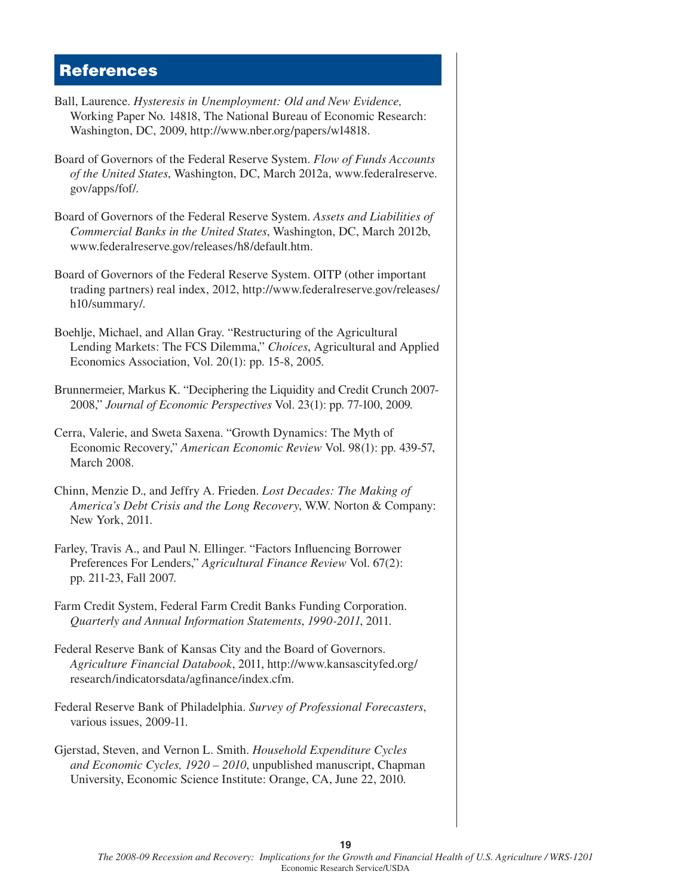## **References**

- Ball, Laurence. *Hysteresis in Unemployment: Old and New Evidence,* Working Paper No. 14818, The National Bureau of Economic Research: Washington, DC, 2009, http://www.nber.org/papers/w14818.
- Board of Governors of the Federal Reserve System. *Flow of Funds Accounts of the United States*, Washington, DC, March 2012a, www.federalreserve. gov/apps/fof/.
- Board of Governors of the Federal Reserve System. *Assets and Liabilities of Commercial Banks in the United States*, Washington, DC, March 2012b, www.federalreserve.gov/releases/h8/default.htm.
- Board of Governors of the Federal Reserve System. OITP (other important trading partners) real index, 2012, http://www.federalreserve.gov/releases/ h10/summary/.
- Boehlje, Michael, and Allan Gray. "Restructuring of the Agricultural Lending Markets: The FCS Dilemma," *Choices*, Agricultural and Applied Economics Association, Vol. 20(1): pp. 15-8, 2005.
- Brunnermeier, Markus K. "Deciphering the Liquidity and Credit Crunch 2007- 2008," *Journal of Economic Perspectives* Vol. 23(1): pp. 77-100, 2009.
- Cerra, Valerie, and Sweta Saxena. "Growth Dynamics: The Myth of Economic Recovery," *American Economic Review* Vol. 98(1): pp. 439-57, March 2008.
- Chinn, Menzie D., and Jeffry A. Frieden. *Lost Decades: The Making of America's Debt Crisis and the Long Recovery*, W.W. Norton & Company: New York, 2011.
- Farley, Travis A., and Paul N. Ellinger. "Factors Influencing Borrower Preferences For Lenders," *Agricultural Finance Review* Vol. 67(2): pp. 211-23, Fall 2007.
- Farm Credit System, Federal Farm Credit Banks Funding Corporation. *Quarterly and Annual Information Statements*, *1990-2011*, 2011.
- Federal Reserve Bank of Kansas City and the Board of Governors. *Agriculture Financial Databook*, 2011, http://www.kansascityfed.org/ research/indicatorsdata/agfinance/index.cfm.
- Federal Reserve Bank of Philadelphia. *Survey of Professional Forecasters*, various issues, 2009-11.
- Gjerstad, Steven, and Vernon L. Smith. *Household Expenditure Cycles and Economic Cycles, 1920 – 2010*, unpublished manuscript, Chapman University, Economic Science Institute: Orange, CA, June 22, 2010.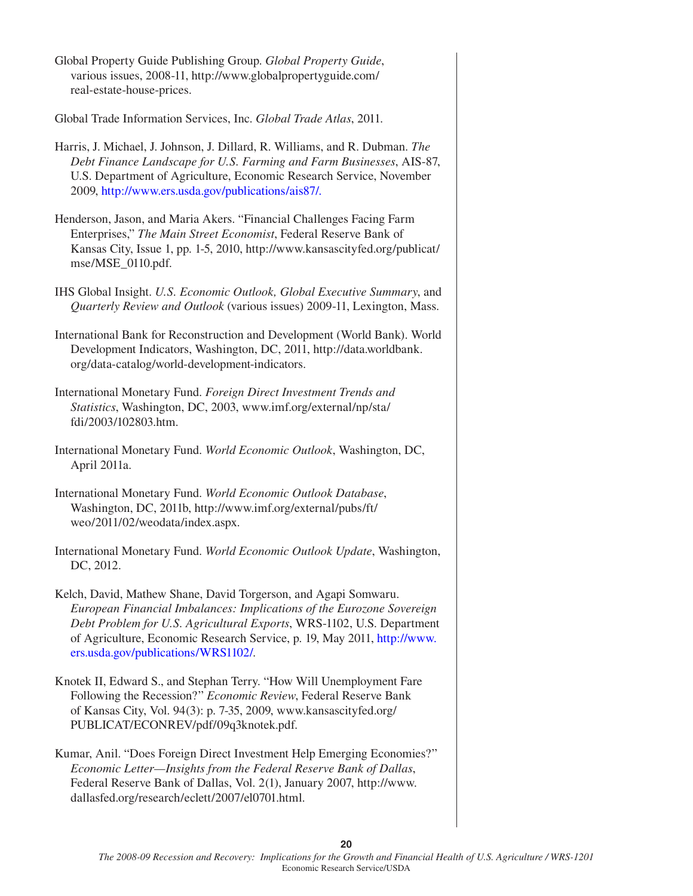Global Property Guide Publishing Group. *Global Property Guide*, various issues, 2008-11, http://www.globalpropertyguide.com/ real-estate-house-prices. Global Trade Information Services, Inc. *Global Trade Atlas*, 2011. Harris, J. Michael, J. Johnson, J. Dillard, R. Williams, and R. Dubman. *The Debt Finance Landscape for U.S. Farming and Farm Businesses*, AIS-87, U.S. Department of Agriculture, Economic Research Service, November 2009, [http://www.ers.usda.gov/publications/ais87/.](http://www.ers.usda.gov/publications/ais87/) Henderson, Jason, and Maria Akers. "Financial Challenges Facing Farm Enterprises," *The Main Street Economist*, Federal Reserve Bank of Kansas City, Issue 1, pp. 1-5, 2010, http://www.kansascityfed.org/publicat/ mse/MSE\_0110.pdf. IHS Global Insight. *U.S. Economic Outlook, Global Executive Summary*, and *Quarterly Review and Outlook* (various issues) 2009-11, Lexington, Mass. International Bank for Reconstruction and Development (World Bank). World Development Indicators, Washington, DC, 2011, http://data.worldbank. org/data-catalog/world-development-indicators. International Monetary Fund. *Foreign Direct Investment Trends and Statistics*, Washington, DC, 2003, www.imf.org/external/np/sta/ fdi/2003/102803.htm. International Monetary Fund. *World Economic Outlook*, Washington, DC, April 2011a. International Monetary Fund. *World Economic Outlook Database*, Washington, DC, 2011b, http://www.imf.org/external/pubs/ft/ weo/2011/02/weodata/index.aspx. International Monetary Fund. *World Economic Outlook Update*, Washington, DC, 2012. Kelch, David, Mathew Shane, David Torgerson, and Agapi Somwaru. *European Financial Imbalances: Implications of the Eurozone Sovereign Debt Problem for U.S. Agricultural Exports*, WRS-1102, U.S. Department of Agriculture, Economic Research Service, p. 19, May 2011, [http://www.](http://ers.usda.gov/publications/WRS1102/) [ers.usda.gov/publications/WRS1102/.](http://www.ers.usda.gov/publications/wrs1102/) Knotek II, Edward S., and Stephan Terry. "How Will Unemployment Fare Following the Recession?" *Economic Review*, Federal Reserve Bank of Kansas City, Vol. 94(3): p. 7-35, 2009, www.kansascityfed.org/ PUBLICAT/ECONREV/pdf/09q3knotek.pdf. Kumar, Anil. "Does Foreign Direct Investment Help Emerging Economies?" *Economic Letter—Insights from the Federal Reserve Bank of Dallas*, Federal Reserve Bank of Dallas, Vol. 2(1), January 2007, http://www. dallasfed.org/research/eclett/2007/el0701.html.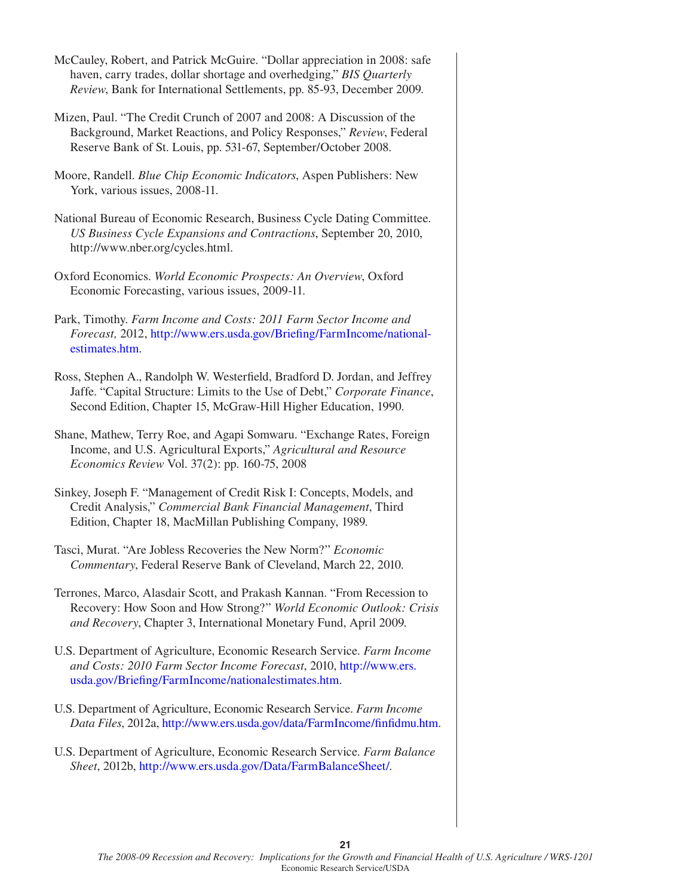- McCauley, Robert, and Patrick McGuire. "Dollar appreciation in 2008: safe haven, carry trades, dollar shortage and overhedging," *BIS Quarterly Review*, Bank for International Settlements, pp. 85-93, December 2009.
- Mizen, Paul. "The Credit Crunch of 2007 and 2008: A Discussion of the Background, Market Reactions, and Policy Responses," *Review*, Federal Reserve Bank of St. Louis, pp. 531-67, September/October 2008.
- Moore, Randell. *Blue Chip Economic Indicators*, Aspen Publishers: New York, various issues, 2008-11.
- National Bureau of Economic Research, Business Cycle Dating Committee. *US Business Cycle Expansions and Contractions*, September 20, 2010, http://www.nber.org/cycles.html.
- Oxford Economics. *World Economic Prospects: An Overview*, Oxford Economic Forecasting, various issues, 2009-11.
- Park, Timothy. *Farm Income and Costs: 2011 Farm Sector Income and Forecast, 2012, http://www.ers.usda.gov/Briefing/FarmIncome/national*[estimates.htm.](http://www.ers.usda.gov/Briefing/FarmIncome/nationalestimates.htm)
- Ross, Stephen A., Randolph W. Westerfield, Bradford D. Jordan, and Jeffrey Jaffe. "Capital Structure: Limits to the Use of Debt," *Corporate Finance*, Second Edition, Chapter 15, McGraw-Hill Higher Education, 1990.
- Shane, Mathew, Terry Roe, and Agapi Somwaru. "Exchange Rates, Foreign Income, and U.S. Agricultural Exports," *Agricultural and Resource Economics Review* Vol. 37(2): pp. 160-75, 2008
- Sinkey, Joseph F. "Management of Credit Risk I: Concepts, Models, and Credit Analysis," *Commercial Bank Financial Management*, Third Edition, Chapter 18, MacMillan Publishing Company, 1989.
- Tasci, Murat. "Are Jobless Recoveries the New Norm?" *Economic Commentary*, Federal Reserve Bank of Cleveland, March 22, 2010.
- Terrones, Marco, Alasdair Scott, and Prakash Kannan. "From Recession to Recovery: How Soon and How Strong?" *World Economic Outlook: Crisis and Recovery*, Chapter 3, International Monetary Fund, April 2009.
- U.S. Department of Agriculture, Economic Research Service. *Farm Income and Costs: 2010 Farm Sector Income Forecast*, 2010, [http://www.ers.](http://www.ers.usda.gov/Briefing/FarmIncome/nationalestimates.htm) usda.gov/Briefing/FarmIncome/nationalestimates.htm.
- U.S. Department of Agriculture, Economic Research Service. *Farm Income*  Data Files, 2012a, http://www.ers.usda.gov/data/FarmIncome/finfidmu.htm.
- U.S. Department of Agriculture, Economic Research Service. *Farm Balance Sheet*, 2012b, [http://www.ers.usda.gov/Data/FarmBalanceSheet/.](http://www.ers.usda.gov/Data/FarmBalanceSheet/)